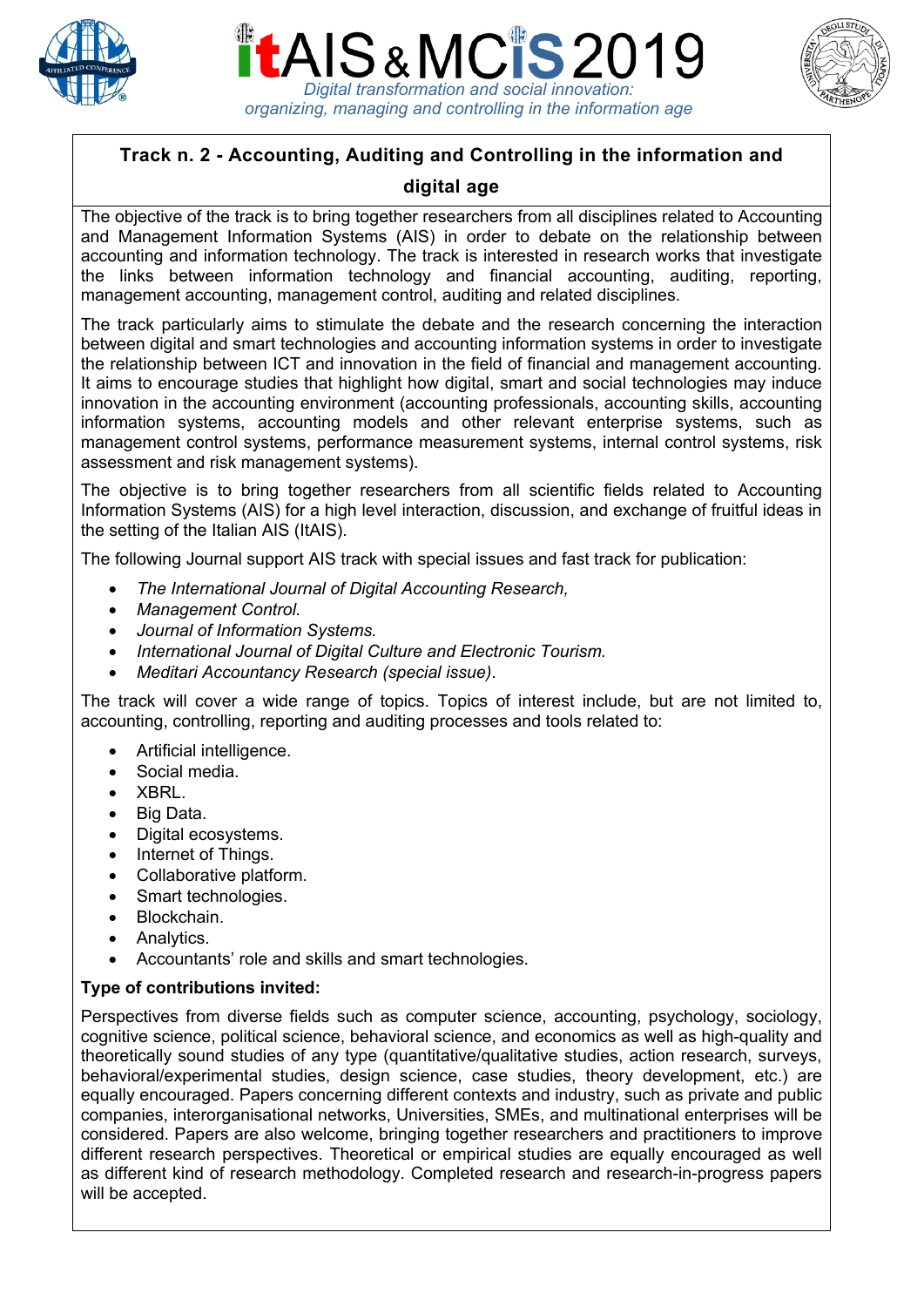





# **Track n. 2 - Accounting, Auditing and Controlling in the information and**

## **digital age**

The objective of the track is to bring together researchers from all disciplines related to Accounting and Management Information Systems (AIS) in order to debate on the relationship between accounting and information technology. The track is interested in research works that investigate the links between information technology and financial accounting, auditing, reporting, management accounting, management control, auditing and related disciplines.

The track particularly aims to stimulate the debate and the research concerning the interaction between digital and smart technologies and accounting information systems in order to investigate the relationship between ICT and innovation in the field of financial and management accounting. It aims to encourage studies that highlight how digital, smart and social technologies may induce innovation in the accounting environment (accounting professionals, accounting skills, accounting information systems, accounting models and other relevant enterprise systems, such as management control systems, performance measurement systems, internal control systems, risk assessment and risk management systems).

The objective is to bring together researchers from all scientific fields related to Accounting Information Systems (AIS) for a high level interaction, discussion, and exchange of fruitful ideas in the setting of the Italian AIS (ItAIS).

The following Journal support AIS track with special issues and fast track for publication:

- *The International Journal of Digital Accounting Research,*
- *Management Control.*
- *Journal of Information Systems.*
- *International Journal of Digital Culture and Electronic Tourism.*
- *Meditari Accountancy Research (special issue)*.

The track will cover a wide range of topics. Topics of interest include, but are not limited to, accounting, controlling, reporting and auditing processes and tools related to:

- Artificial intelligence.
- Social media.
- XBRL.
- Big Data.
- Digital ecosystems.
- Internet of Things.
- Collaborative platform.
- Smart technologies.
- Blockchain.
- Analytics.
- Accountants' role and skills and smart technologies.

#### **Type of contributions invited:**

Perspectives from diverse fields such as computer science, accounting, psychology, sociology, cognitive science, political science, behavioral science, and economics as well as high-quality and theoretically sound studies of any type (quantitative/qualitative studies, action research, surveys, behavioral/experimental studies, design science, case studies, theory development, etc.) are equally encouraged. Papers concerning different contexts and industry, such as private and public companies, interorganisational networks, Universities, SMEs, and multinational enterprises will be considered. Papers are also welcome, bringing together researchers and practitioners to improve different research perspectives. Theoretical or empirical studies are equally encouraged as well as different kind of research methodology. Completed research and research-in-progress papers will be accepted.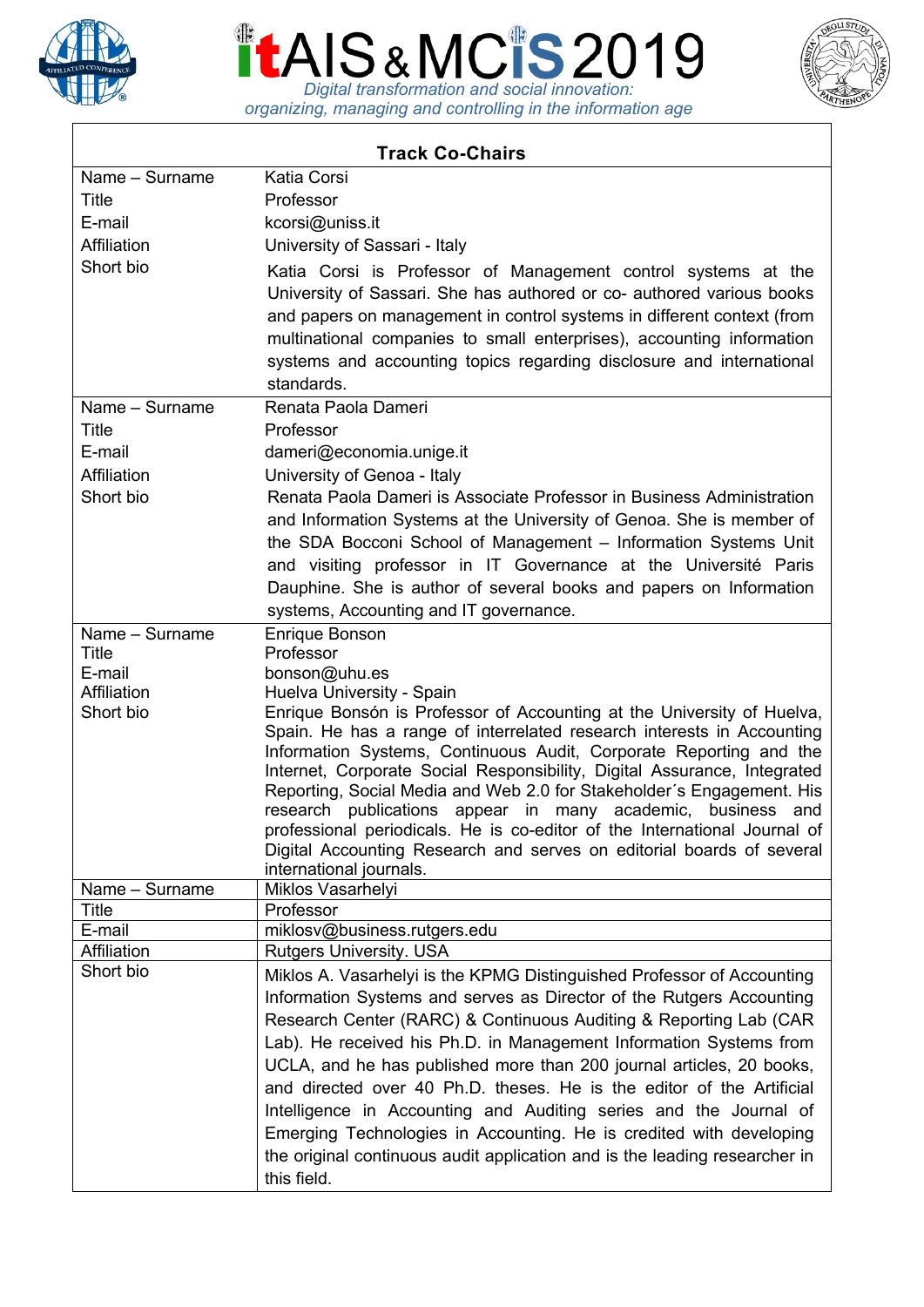





| <b>Track Co-Chairs</b> |                                                                                                                                                    |
|------------------------|----------------------------------------------------------------------------------------------------------------------------------------------------|
| Name - Surname         | Katia Corsi                                                                                                                                        |
| Title                  | Professor                                                                                                                                          |
| E-mail                 | kcorsi@uniss.it                                                                                                                                    |
| Affiliation            | University of Sassari - Italy                                                                                                                      |
| Short bio              | Katia Corsi is Professor of Management control systems at the                                                                                      |
|                        | University of Sassari. She has authored or co- authored various books                                                                              |
|                        | and papers on management in control systems in different context (from                                                                             |
|                        | multinational companies to small enterprises), accounting information                                                                              |
|                        | systems and accounting topics regarding disclosure and international                                                                               |
|                        | standards.                                                                                                                                         |
| Name - Surname         | Renata Paola Dameri                                                                                                                                |
| Title                  | Professor                                                                                                                                          |
| E-mail                 | dameri@economia.unige.it                                                                                                                           |
| Affiliation            | University of Genoa - Italy                                                                                                                        |
| Short bio              | Renata Paola Dameri is Associate Professor in Business Administration                                                                              |
|                        | and Information Systems at the University of Genoa. She is member of                                                                               |
|                        | the SDA Bocconi School of Management - Information Systems Unit                                                                                    |
|                        | and visiting professor in IT Governance at the Université Paris                                                                                    |
|                        | Dauphine. She is author of several books and papers on Information                                                                                 |
|                        | systems, Accounting and IT governance.                                                                                                             |
| Name - Surname         | <b>Enrique Bonson</b>                                                                                                                              |
| Title                  | Professor                                                                                                                                          |
| E-mail<br>Affiliation  | bonson@uhu.es<br>Huelva University - Spain                                                                                                         |
| Short bio              | Enrique Bonsón is Professor of Accounting at the University of Huelva,                                                                             |
|                        | Spain. He has a range of interrelated research interests in Accounting                                                                             |
|                        | Information Systems, Continuous Audit, Corporate Reporting and the                                                                                 |
|                        | Internet, Corporate Social Responsibility, Digital Assurance, Integrated                                                                           |
|                        | Reporting, Social Media and Web 2.0 for Stakeholder's Engagement. His                                                                              |
|                        | publications appear in many academic, business<br>research<br>and                                                                                  |
|                        | professional periodicals. He is co-editor of the International Journal of<br>Digital Accounting Research and serves on editorial boards of several |
|                        | international journals.                                                                                                                            |
| Name - Surname         | Miklos Vasarhelyi                                                                                                                                  |
| <b>Title</b>           | Professor                                                                                                                                          |
| E-mail                 | miklosv@business.rutgers.edu                                                                                                                       |
| Affiliation            | <b>Rutgers University. USA</b>                                                                                                                     |
| Short bio              | Miklos A. Vasarhelyi is the KPMG Distinguished Professor of Accounting                                                                             |
|                        | Information Systems and serves as Director of the Rutgers Accounting                                                                               |
|                        | Research Center (RARC) & Continuous Auditing & Reporting Lab (CAR                                                                                  |
|                        | Lab). He received his Ph.D. in Management Information Systems from                                                                                 |
|                        | UCLA, and he has published more than 200 journal articles, 20 books,                                                                               |
|                        | and directed over 40 Ph.D. theses. He is the editor of the Artificial                                                                              |
|                        | Intelligence in Accounting and Auditing series and the Journal of                                                                                  |
|                        | Emerging Technologies in Accounting. He is credited with developing                                                                                |
|                        | the original continuous audit application and is the leading researcher in                                                                         |
|                        | this field.                                                                                                                                        |